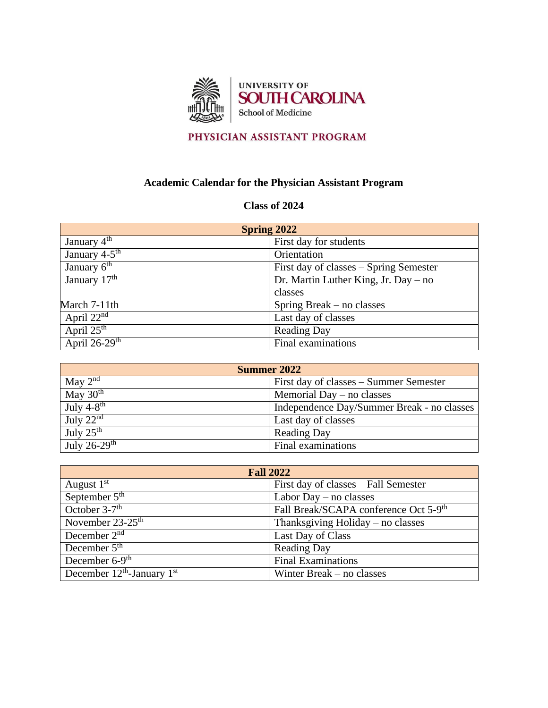

## PHYSICIAN ASSISTANT PROGRAM

## **Academic Calendar for the Physician Assistant Program**

## **Class of 2024**

| <b>Spring 2022</b>          |                                        |
|-----------------------------|----------------------------------------|
| January $4^{\text{th}}$     | First day for students                 |
| January 4-5 <sup>th</sup>   | Orientation                            |
| January $\overline{6^{th}}$ | First day of classes – Spring Semester |
| January $17th$              | Dr. Martin Luther King, Jr. Day – no   |
|                             | classes                                |
| March 7-11th                | Spring Break $-$ no classes            |
| April $22nd$                | Last day of classes                    |
| April $25^{th}$             | <b>Reading Day</b>                     |
| April $26-29$ <sup>th</sup> | Final examinations                     |

| Summer 2022                |                                            |
|----------------------------|--------------------------------------------|
| May $2^{nd}$               | First day of classes – Summer Semester     |
| May $30th$                 | Memorial Day $-$ no classes                |
| July $4-8^{\text{th}}$     | Independence Day/Summer Break - no classes |
| July $22nd$                | Last day of classes                        |
| July $25^{\text{th}}$      | <b>Reading Day</b>                         |
| July $26-29$ <sup>th</sup> | Final examinations                         |

| <b>Fall 2022</b>               |                                                   |
|--------------------------------|---------------------------------------------------|
| August $1st$                   | First day of classes - Fall Semester              |
| September $5th$                | Labor Day $-$ no classes                          |
| October $3-7$ <sup>th</sup>    | Fall Break/SCAPA conference Oct 5-9 <sup>th</sup> |
| November $23-25$ <sup>th</sup> | Thanksgiving Holiday $-$ no classes               |
| December $2nd$                 | Last Day of Class                                 |
| December $5th$                 | <b>Reading Day</b>                                |
| December $6-9$ <sup>th</sup>   | <b>Final Examinations</b>                         |
| December $12th$ -January $1st$ | Winter Break – no classes                         |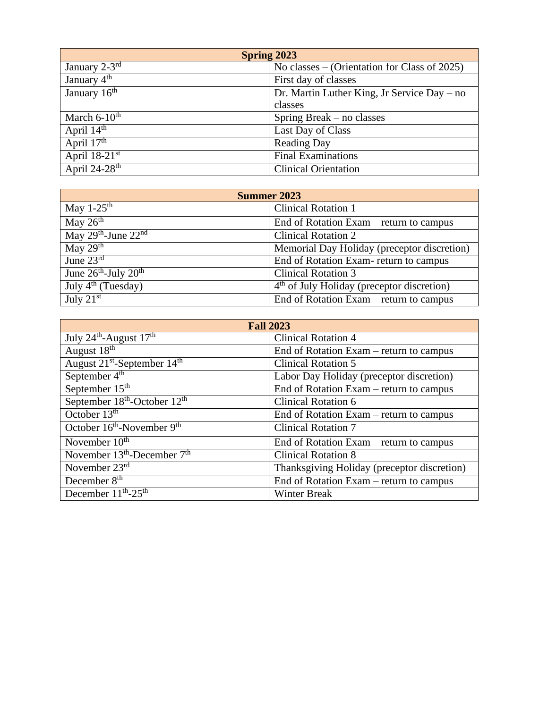| <b>Spring 2023</b>            |                                              |
|-------------------------------|----------------------------------------------|
| January $2-3^{r\overline{d}}$ | No classes – (Orientation for Class of 2025) |
| January $4th$                 | First day of classes                         |
| January $16^{\overline{th}}$  | Dr. Martin Luther King, Jr Service Day – no  |
|                               | classes                                      |
| March $6-10^{\text{th}}$      | Spring Break $-$ no classes                  |
| April $14^{\text{th}}$        | Last Day of Class                            |
| April $17th$                  | <b>Reading Day</b>                           |
| April $18-21$ <sup>st</sup>   | <b>Final Examinations</b>                    |
| April $24-28$ <sup>th</sup>   | <b>Clinical Orientation</b>                  |

| <b>Summer 2023</b>                           |                                              |
|----------------------------------------------|----------------------------------------------|
| May $1-25^{\text{th}}$                       | <b>Clinical Rotation 1</b>                   |
| May $26th$                                   | End of Rotation Exam – return to campus      |
| May $29th$ -June $22nd$                      | <b>Clinical Rotation 2</b>                   |
| May $29th$                                   | Memorial Day Holiday (preceptor discretion)  |
| June $23^{\text{rd}}$                        | End of Rotation Exam-return to campus        |
| June $26^{\text{th}}$ -July $20^{\text{th}}$ | <b>Clinical Rotation 3</b>                   |
| July $4th$ (Tuesday)                         | $4th$ of July Holiday (preceptor discretion) |
| July $21st$                                  | End of Rotation Exam – return to campus      |

| <b>Fall 2023</b>                                     |                                             |
|------------------------------------------------------|---------------------------------------------|
| July $24^{\text{th}}$ -August $17^{\text{th}}$       | <b>Clinical Rotation 4</b>                  |
| August 18 <sup>th</sup>                              | End of Rotation Exam – return to campus     |
| August 21 <sup>st</sup> -September 14 <sup>th</sup>  | <b>Clinical Rotation 5</b>                  |
| September 4 <sup>th</sup>                            | Labor Day Holiday (preceptor discretion)    |
| September 15 <sup>th</sup>                           | End of Rotation Exam – return to campus     |
| September 18 <sup>th</sup> -October 12 <sup>th</sup> | <b>Clinical Rotation 6</b>                  |
| October $13th$                                       | End of Rotation Exam – return to campus     |
| October 16 <sup>th</sup> -November 9 <sup>th</sup>   | <b>Clinical Rotation 7</b>                  |
| November $10th$                                      | End of Rotation Exam – return to campus     |
| November $13th$ -December $7th$                      | <b>Clinical Rotation 8</b>                  |
| November $23rd$                                      | Thanksgiving Holiday (preceptor discretion) |
| December 8 <sup>th</sup>                             | End of Rotation Exam – return to campus     |
| December $11^{th}$ -25 <sup>th</sup>                 | <b>Winter Break</b>                         |